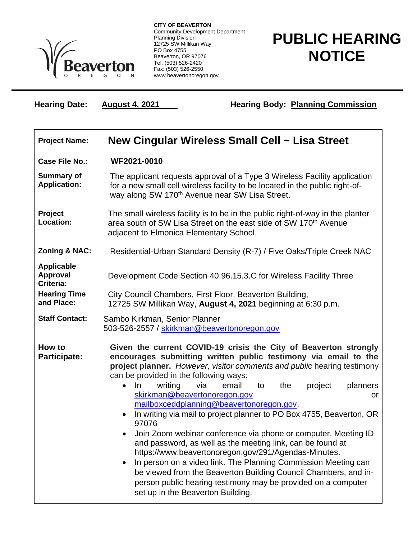

**CITY OF BEAVERTON** Community Development Department Planning Division 12725 SW Millikan Way PO Box 4755 Beaverton, OR 97076 Tel: (503) 526-2420 Fax: (503) 526-2550 www.beavertonoregon.gov

## **PUBLIC HEARING NOTICE**

Hearing Date: **August 4, 2021** Hearing Body: **Planning Commission** 

| <b>Project Name:</b>                                              | New Cingular Wireless Small Cell ~ Lisa Street                                                                                                                                                                                                                                                                                                                                                                                                                                                                                                                                                                                                                                                                                                                                                                                                                                                                                                      |
|-------------------------------------------------------------------|-----------------------------------------------------------------------------------------------------------------------------------------------------------------------------------------------------------------------------------------------------------------------------------------------------------------------------------------------------------------------------------------------------------------------------------------------------------------------------------------------------------------------------------------------------------------------------------------------------------------------------------------------------------------------------------------------------------------------------------------------------------------------------------------------------------------------------------------------------------------------------------------------------------------------------------------------------|
| <b>Case File No.:</b>                                             | WF2021-0010                                                                                                                                                                                                                                                                                                                                                                                                                                                                                                                                                                                                                                                                                                                                                                                                                                                                                                                                         |
| <b>Summary of</b><br><b>Application:</b>                          | The applicant requests approval of a Type 3 Wireless Facility application<br>for a new small cell wireless facility to be located in the public right-of-<br>way along SW 170 <sup>th</sup> Avenue near SW Lisa Street.                                                                                                                                                                                                                                                                                                                                                                                                                                                                                                                                                                                                                                                                                                                             |
| Project<br>Location:                                              | The small wireless facility is to be in the public right-of-way in the planter<br>area south of SW Lisa Street on the east side of SW 170 <sup>th</sup> Avenue<br>adjacent to Elmonica Elementary School.                                                                                                                                                                                                                                                                                                                                                                                                                                                                                                                                                                                                                                                                                                                                           |
| <b>Zoning &amp; NAC:</b>                                          | Residential-Urban Standard Density (R-7) / Five Oaks/Triple Creek NAC                                                                                                                                                                                                                                                                                                                                                                                                                                                                                                                                                                                                                                                                                                                                                                                                                                                                               |
| <b>Applicable</b><br>Approval<br>Criteria:<br><b>Hearing Time</b> | Development Code Section 40.96.15.3.C for Wireless Facility Three<br>City Council Chambers, First Floor, Beaverton Building,                                                                                                                                                                                                                                                                                                                                                                                                                                                                                                                                                                                                                                                                                                                                                                                                                        |
| and Place:                                                        | 12725 SW Millikan Way, August 4, 2021 beginning at 6:30 p.m.                                                                                                                                                                                                                                                                                                                                                                                                                                                                                                                                                                                                                                                                                                                                                                                                                                                                                        |
| <b>Staff Contact:</b>                                             | Sambo Kirkman, Senior Planner<br>503-526-2557 / skirkman@beavertonoregon.gov                                                                                                                                                                                                                                                                                                                                                                                                                                                                                                                                                                                                                                                                                                                                                                                                                                                                        |
| How to<br>Participate:                                            | Given the current COVID-19 crisis the City of Beaverton strongly<br>encourages submitting written public testimony via email to the<br>project planner. However, visitor comments and public hearing testimony<br>can be provided in the following ways:<br>$\ln$<br>writing<br>via<br>project<br>planners<br>email<br>the<br>$\bullet$<br>to<br>skirkman@beavertonoregon.gov<br>or<br>mailboxceddplanning@beavertonoregon.gov.<br>In writing via mail to project planner to PO Box 4755, Beaverton, OR<br>97076<br>Join Zoom webinar conference via phone or computer. Meeting ID<br>and password, as well as the meeting link, can be found at<br>https://www.beavertonoregon.gov/291/Agendas-Minutes.<br>In person on a video link. The Planning Commission Meeting can<br>be viewed from the Beaverton Building Council Chambers, and in-<br>person public hearing testimony may be provided on a computer<br>set up in the Beaverton Building. |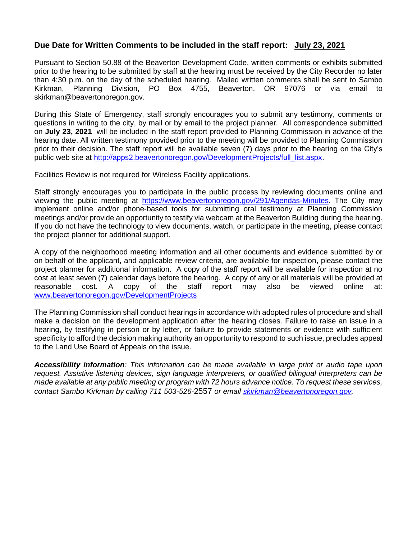## **Due Date for Written Comments to be included in the staff report: July 23, 2021**

Pursuant to Section 50.88 of the Beaverton Development Code, written comments or exhibits submitted prior to the hearing to be submitted by staff at the hearing must be received by the City Recorder no later than 4:30 p.m. on the day of the scheduled hearing. Mailed written comments shall be sent to Sambo Kirkman, Planning Division, PO Box 4755, Beaverton, OR 97076 or via email to skirkman@beavertonoregon.gov.

During this State of Emergency, staff strongly encourages you to submit any testimony, comments or questions in writing to the city, by mail or by email to the project planner. All correspondence submitted on **July 23, 2021** will be included in the staff report provided to Planning Commission in advance of the hearing date. All written testimony provided prior to the meeting will be provided to Planning Commission prior to their decision. The staff report will be available seven (7) days prior to the hearing on the City's public web site at [http://apps2.beavertonoregon.gov/DevelopmentProjects/full\\_list.aspx.](http://apps2.beavertonoregon.gov/DevelopmentProjects/full_list.aspx)

Facilities Review is not required for Wireless Facility applications.

Staff strongly encourages you to participate in the public process by reviewing documents online and viewing the public meeting at [https://www.beavertonoregon.gov/291/Agendas-Minutes.](https://www.beavertonoregon.gov/291/Agendas-Minutes) The City may implement online and/or phone-based tools for submitting oral testimony at Planning Commission meetings and/or provide an opportunity to testify via webcam at the Beaverton Building during the hearing. If you do not have the technology to view documents, watch, or participate in the meeting, please contact the project planner for additional support.

A copy of the neighborhood meeting information and all other documents and evidence submitted by or on behalf of the applicant, and applicable review criteria, are available for inspection, please contact the project planner for additional information. A copy of the staff report will be available for inspection at no cost at least seven (7) calendar days before the hearing. A copy of any or all materials will be provided at reasonable cost. A copy of the staff report may also be viewed online at: [www.beavertonoregon.gov/DevelopmentProjects](http://www.beavertonoregon.gov/DevelopmentProjects)

The Planning Commission shall conduct hearings in accordance with adopted rules of procedure and shall make a decision on the development application after the hearing closes. Failure to raise an issue in a hearing, by testifying in person or by letter, or failure to provide statements or evidence with sufficient specificity to afford the decision making authority an opportunity to respond to such issue, precludes appeal to the Land Use Board of Appeals on the issue.

*Accessibility information: This information can be made available in large print or audio tape upon request. Assistive listening devices, sign language interpreters, or qualified bilingual interpreters can be made available at any public meeting or program with 72 hours advance notice. To request these services, contact Sambo Kirkman by calling 711 503-526-*2557 *or email [skirkman@beavertonoregon.gov.](mailto:skirkman@beavertonoregon.gov)*